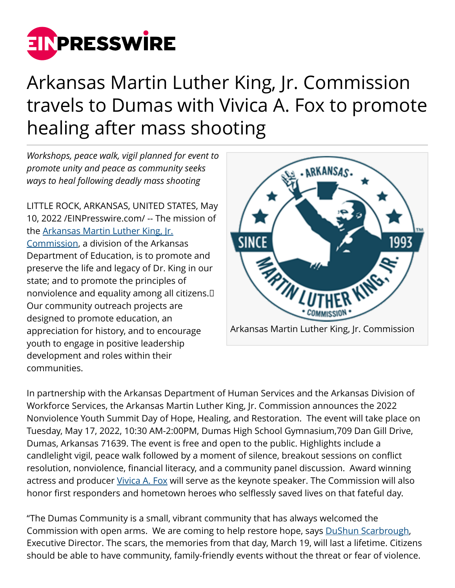

## Arkansas Martin Luther King, Jr. Commission travels to Dumas with Vivica A. Fox to promote healing after mass shooting

*Workshops, peace walk, vigil planned for event to promote unity and peace as community seeks ways to heal following deadly mass shooting*

LITTLE ROCK, ARKANSAS, UNITED STATES, May 10, 2022 /[EINPresswire.com/](http://www.einpresswire.com) -- The mission of the [Arkansas Martin Luther King, Jr.](http://www.arkingdream.org) [Commission](http://www.arkingdream.org), a division of the Arkansas Department of Education, is to promote and preserve the life and legacy of Dr. King in our state; and to promote the principles of nonviolence and equality among all citizens.  Our community outreach projects are designed to promote education, an appreciation for history, and to encourage youth to engage in positive leadership development and roles within their communities.



In partnership with the Arkansas Department of Human Services and the Arkansas Division of Workforce Services, the Arkansas Martin Luther King, Jr. Commission announces the 2022 Nonviolence Youth Summit Day of Hope, Healing, and Restoration. The event will take place on Tuesday, May 17, 2022, 10:30 AM-2:00PM, Dumas High School Gymnasium,709 Dan Gill Drive, Dumas, Arkansas 71639. The event is free and open to the public. Highlights include a candlelight vigil, peace walk followed by a moment of silence, breakout sessions on conflict resolution, nonviolence, financial literacy, and a community panel discussion. Award winning actress and producer [Vivica A. Fox](http://www.arkingdream.org/events) will serve as the keynote speaker. The Commission will also honor first responders and hometown heroes who selflessly saved lives on that fateful day.

"The Dumas Community is a small, vibrant community that has always welcomed the Commission with open arms. We are coming to help restore hope, says [DuShun Scarbrough,](http://www.arkingdream.org/events) Executive Director. The scars, the memories from that day, March 19, will last a lifetime. Citizens should be able to have community, family-friendly events without the threat or fear of violence.